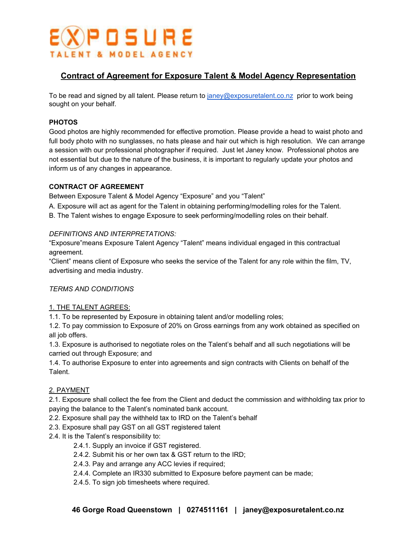

# **Contract of Agreement for Exposure Talent & Model Agency Representation**

To be read and signed by all talent. Please return to [janey@exposuretalent.co.nz](mailto:janey@exposuretalent.co.nz) prior to work being sought on your behalf.

## **PHOTOS**

Good photos are highly recommended for effective promotion. Please provide a head to waist photo and full body photo with no sunglasses, no hats please and hair out which is high resolution. We can arrange a session with our professional photographer if required. Just let Janey know. Professional photos are not essential but due to the nature of the business, it is important to regularly update your photos and inform us of any changes in appearance.

## **CONTRACT OF AGREEMENT**

Between Exposure Talent & Model Agency "Exposure" and you "Talent"

A. Exposure will act as agent for the Talent in obtaining performing/modelling roles for the Talent.

B. The Talent wishes to engage Exposure to seek performing/modelling roles on their behalf.

## *DEFINITIONS AND INTERPRETATIONS:*

"Exposure"means Exposure Talent Agency "Talent" means individual engaged in this contractual agreement.

"Client" means client of Exposure who seeks the service of the Talent for any role within the film, TV, advertising and media industry.

## *TERMS AND CONDITIONS*

#### 1. THE TALENT AGREES:

1.1. To be represented by Exposure in obtaining talent and/or modelling roles;

1.2. To pay commission to Exposure of 20% on Gross earnings from any work obtained as specified on all job offers.

1.3. Exposure is authorised to negotiate roles on the Talent's behalf and all such negotiations will be carried out through Exposure; and

1.4. To authorise Exposure to enter into agreements and sign contracts with Clients on behalf of the Talent.

## 2. PAYMENT

2.1. Exposure shall collect the fee from the Client and deduct the commission and withholding tax prior to paying the balance to the Talent's nominated bank account.

- 2.2. Exposure shall pay the withheld tax to IRD on the Talent's behalf
- 2.3. Exposure shall pay GST on all GST registered talent
- 2.4. It is the Talent's responsibility to:
	- 2.4.1. Supply an invoice if GST registered.
	- 2.4.2. Submit his or her own tax & GST return to the IRD;
	- 2.4.3. Pay and arrange any ACC levies if required;
	- 2.4.4. Complete an IR330 submitted to Exposure before payment can be made;
	- 2.4.5. To sign job timesheets where required.